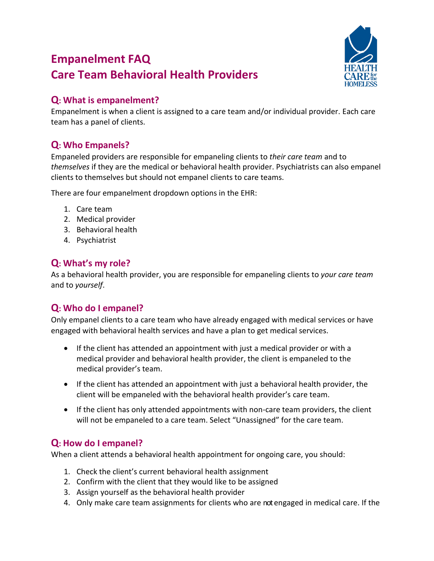# **Empanelment FAQ Care Team Behavioral Health Providers**



#### **Q: What is empanelment?**

Empanelment is when a client is assigned to a care team and/or individual provider. Each care team has a panel of clients.

## **Q: Who Empanels?**

Empaneled providers are responsible for empaneling clients to *their care team* and to *themselves* if they are the medical or behavioral health provider. Psychiatrists can also empanel clients to themselves but should not empanel clients to care teams.

There are four empanelment dropdown options in the EHR:

- 1. Care team
- 2. Medical provider
- 3. Behavioral health
- 4. Psychiatrist

### **Q: What's my role?**

As a behavioral health provider, you are responsible for empaneling clients to *your care team* and to *yourself*.

### **Q: Who do I empanel?**

Only empanel clients to a care team who have already engaged with medical services or have engaged with behavioral health services and have a plan to get medical services.

- If the client has attended an appointment with just a medical provider or with a medical provider and behavioral health provider, the client is empaneled to the medical provider's team.
- If the client has attended an appointment with just a behavioral health provider, the client will be empaneled with the behavioral health provider's care team.
- If the client has only attended appointments with non-care team providers, the client will not be empaneled to a care team. Select "Unassigned" for the care team.

#### **Q: How do I empanel?**

When a client attends a behavioral health appointment for ongoing care, you should:

- 1. Check the client's current behavioral health assignment
- 2. Confirm with the client that they would like to be assigned
- 3. Assign yourself as the behavioral health provider
- 4. Only make care team assignments for clients who are notengaged in medical care. If the